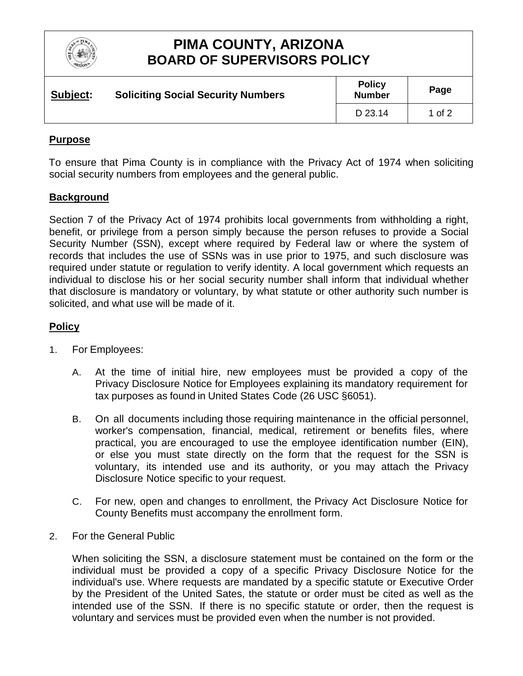

# **PIMA COUNTY, ARIZONA BOARD OF SUPERVISORS POLICY**

| Subject: | <b>Soliciting Social Security Numbers</b> | <b>Policy</b><br><b>Number</b> | Page   |
|----------|-------------------------------------------|--------------------------------|--------|
|          |                                           | D 23.14                        | 1 of 2 |

#### **Purpose**

To ensure that Pima County is in compliance with the Privacy Act of 1974 when soliciting social security numbers from employees and the general public.

#### **Background**

Section 7 of the Privacy Act of 1974 prohibits local governments from withholding a right, benefit, or privilege from a person simply because the person refuses to provide a Social Security Number (SSN), except where required by Federal law or where the system of records that includes the use of SSNs was in use prior to 1975, and such disclosure was required under statute or regulation to verify identity. A local government which requests an individual to disclose his or her social security number shall inform that individual whether that disclosure is mandatory or voluntary, by what statute or other authority such number is solicited, and what use will be made of it.

#### **Policy**

- 1. For Employees:
	- A. At the time of initial hire, new employees must be provided a copy of the Privacy Disclosure Notice for Employees explaining its mandatory requirement for tax purposes as found in United States Code (26 USC §6051).
	- B. On all documents including those requiring maintenance in the official personnel, worker's compensation, financial, medical, retirement or benefits files, where practical, you are encouraged to use the employee identification number (EIN), or else you must state directly on the form that the request for the SSN is voluntary, its intended use and its authority, or you may attach the Privacy Disclosure Notice specific to your request.
	- C. For new, open and changes to enrollment, the Privacy Act Disclosure Notice for County Benefits must accompany the enrollment form.
- 2. For the General Public

When soliciting the SSN, a disclosure statement must be contained on the form or the individual must be provided a copy of a specific Privacy Disclosure Notice for the individual's use. Where requests are mandated by a specific statute or Executive Order by the President of the United Sates, the statute or order must be cited as well as the intended use of the SSN. If there is no specific statute or order, then the request is voluntary and services must be provided even when the number is not provided.